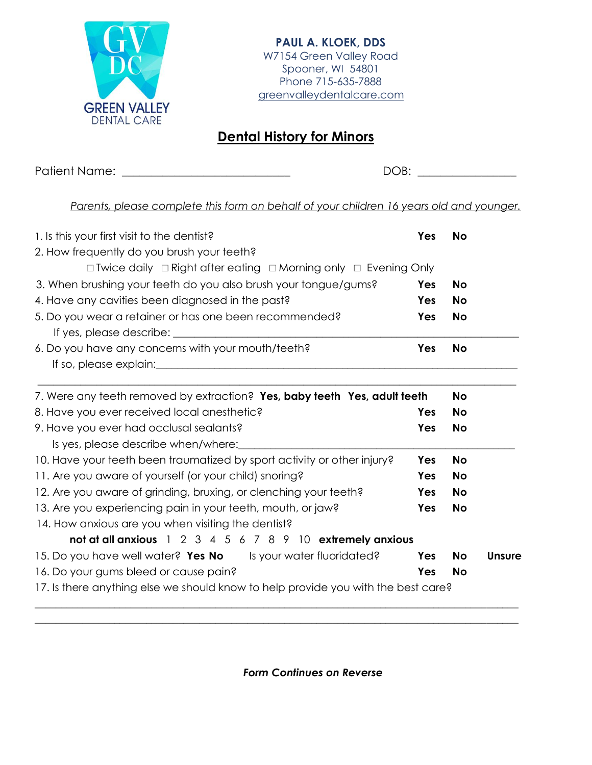

## **Dental History for Minors**

Patient Name: \_\_\_\_\_\_\_\_\_\_\_\_\_\_\_\_\_\_\_\_\_\_\_\_\_\_\_\_\_ DOB: \_\_\_\_\_\_\_\_\_\_\_\_\_\_\_\_\_

*Parents, please complete this form on behalf of your children 16 years old and younger.*

| 1. Is this your first visit to the dentist?                                          | Yes               | <b>No</b>                           |        |  |  |  |  |
|--------------------------------------------------------------------------------------|-------------------|-------------------------------------|--------|--|--|--|--|
| 2. How frequently do you brush your teeth?                                           |                   |                                     |        |  |  |  |  |
| $\Box$ Twice daily $\Box$ Right after eating $\Box$ Morning only $\Box$ Evening Only |                   |                                     |        |  |  |  |  |
| 3. When brushing your teeth do you also brush your tongue/gums?                      | Yes<br>Yes<br>Yes | <b>No</b><br><b>No</b><br><b>No</b> |        |  |  |  |  |
| 4. Have any cavities been diagnosed in the past?                                     |                   |                                     |        |  |  |  |  |
| 5. Do you wear a retainer or has one been recommended?                               |                   |                                     |        |  |  |  |  |
| If yes, please describe:                                                             |                   |                                     |        |  |  |  |  |
| 6. Do you have any concerns with your mouth/teeth?                                   | Yes               | <b>No</b>                           |        |  |  |  |  |
|                                                                                      |                   |                                     |        |  |  |  |  |
| 7. Were any teeth removed by extraction? Yes, baby teeth Yes, adult teeth            |                   | <b>No</b>                           |        |  |  |  |  |
| 8. Have you ever received local anesthetic?                                          | Yes               | <b>No</b>                           |        |  |  |  |  |
| 9. Have you ever had occlusal sealants?                                              | Yes               | <b>No</b>                           |        |  |  |  |  |
| Is yes, please describe when/where:                                                  |                   |                                     |        |  |  |  |  |
| 10. Have your teeth been traumatized by sport activity or other injury?              | Yes               | <b>No</b>                           |        |  |  |  |  |
| 11. Are you aware of yourself (or your child) snoring?                               | Yes               | <b>No</b>                           |        |  |  |  |  |
| 12. Are you aware of grinding, bruxing, or clenching your teeth?                     | Yes               | <b>No</b>                           |        |  |  |  |  |
| 13. Are you experiencing pain in your teeth, mouth, or jaw?                          | Yes               | <b>No</b>                           |        |  |  |  |  |
| 14. How anxious are you when visiting the dentist?                                   |                   |                                     |        |  |  |  |  |
| not at all anxious 1 2 3 4 5 6 7 8 9 10 extremely anxious                            |                   |                                     |        |  |  |  |  |
| 15. Do you have well water? Yes No Is your water fluoridated?                        | Yes               | <b>No</b>                           | Unsure |  |  |  |  |
| 16. Do your gums bleed or cause pain?                                                | Yes               | <b>No</b>                           |        |  |  |  |  |
| 17. Is there anything else we should know to help provide you with the best care?    |                   |                                     |        |  |  |  |  |

 $\_$  , and the set of the set of the set of the set of the set of the set of the set of the set of the set of the set of the set of the set of the set of the set of the set of the set of the set of the set of the set of th

*Form Continues on Reverse*